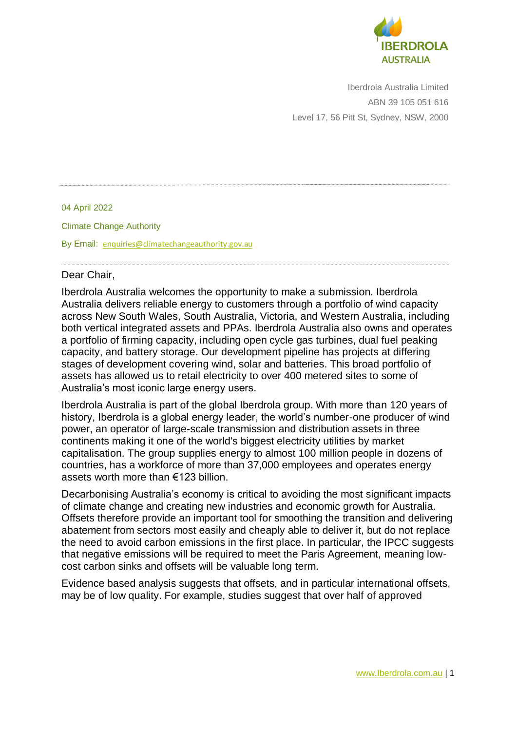

Iberdrola Australia Limited ABN 39 105 051 616 Level 17, 56 Pitt St, Sydney, NSW, 2000

04 April 2022 Climate Change Authority By Email: [enquiries@climatechangeauthority.gov.au](mailto:enquiries@climatechangeauthority.gov.au)

## Dear Chair,

Iberdrola Australia welcomes the opportunity to make a submission. Iberdrola Australia delivers reliable energy to customers through a portfolio of wind capacity across New South Wales, South Australia, Victoria, and Western Australia, including both vertical integrated assets and PPAs. Iberdrola Australia also owns and operates a portfolio of firming capacity, including open cycle gas turbines, dual fuel peaking capacity, and battery storage. Our development pipeline has projects at differing stages of development covering wind, solar and batteries. This broad portfolio of assets has allowed us to retail electricity to over 400 metered sites to some of Australia's most iconic large energy users.

Iberdrola Australia is part of the global Iberdrola group. With more than 120 years of history, Iberdrola is a global energy leader, the world's number-one producer of wind power, an operator of large-scale transmission and distribution assets in three continents making it one of the world's biggest electricity utilities by market capitalisation. The group supplies energy to almost 100 million people in dozens of countries, has a workforce of more than 37,000 employees and operates energy assets worth more than €123 billion.

Decarbonising Australia's economy is critical to avoiding the most significant impacts of climate change and creating new industries and economic growth for Australia. Offsets therefore provide an important tool for smoothing the transition and delivering abatement from sectors most easily and cheaply able to deliver it, but do not replace the need to avoid carbon emissions in the first place. In particular, the IPCC suggests that negative emissions will be required to meet the Paris Agreement, meaning lowcost carbon sinks and offsets will be valuable long term.

Evidence based analysis suggests that offsets, and in particular international offsets, may be of low quality. For example, studies suggest that over half of approved